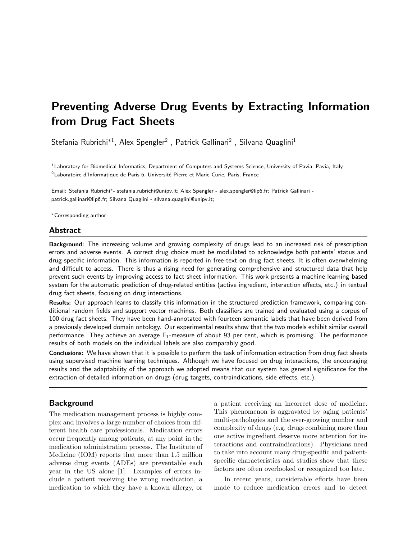# Preventing Adverse Drug Events by Extracting Information from Drug Fact Sheets

Stefania Rubrichi<sup>\*1</sup>, Alex Spengler<sup>2</sup>, Patrick Gallinari<sup>2</sup>, Silvana Quaglini<sup>1</sup>

 $1$ Laboratory for Biomedical Informatics, Department of Computers and Systems Science, University of Pavia, Pavia, Italy  $2$ Laboratoire d'Informatique de Paris 6, Université Pierre et Marie Curie, Paris, France

Email: Stefania Rubrichi∗- stefania.rubrichi@unipv.it; Alex Spengler - alex.spengler@lip6.fr; Patrick Gallinari patrick.gallinari@lip6.fr; Silvana Quaglini - silvana.quaglini@unipv.it;

<sup>∗</sup>Corresponding author

## Abstract

Background: The increasing volume and growing complexity of drugs lead to an increased risk of prescription errors and adverse events. A correct drug choice must be modulated to acknowledge both patients' status and drug-specific information. This information is reported in free-text on drug fact sheets. It is often overwhelming and difficult to access. There is thus a rising need for generating comprehensive and structured data that help prevent such events by improving access to fact sheet information. This work presents a machine learning based system for the automatic prediction of drug-related entities (active ingredient, interaction effects, etc.) in textual drug fact sheets, focusing on drug interactions.

Results: Our approach learns to classify this information in the structured prediction framework, comparing conditional random fields and support vector machines. Both classifiers are trained and evaluated using a corpus of 100 drug fact sheets. They have been hand-annotated with fourteen semantic labels that have been derived from a previously developed domain ontology. Our experimental results show that the two models exhibit similar overall performance. They achieve an average  $F_1$ -measure of about 93 per cent, which is promising. The performance results of both models on the individual labels are also comparably good.

Conclusions: We have shown that it is possible to perform the task of information extraction from drug fact sheets using supervised machine learning techniques. Although we have focused on drug interactions, the encouraging results and the adaptability of the approach we adopted means that our system has general significance for the extraction of detailed information on drugs (drug targets, contraindications, side effects, etc.).

# Background

The medication management process is highly complex and involves a large number of choices from different health care professionals. Medication errors occur frequently among patients, at any point in the medication administration process. The Institute of Medicine (IOM) reports that more than 1.5 million adverse drug events (ADEs) are preventable each year in the US alone [\[1\]](#page-5-0). Examples of errors include a patient receiving the wrong medication, a medication to which they have a known allergy, or

a patient receiving an incorrect dose of medicine. This phenomenon is aggravated by aging patients' multi-pathologies and the ever-growing number and complexity of drugs (e.g. drugs combining more than one active ingredient deserve more attention for interactions and contraindications). Physicians need to take into account many drug-specific and patientspecific characteristics and studies show that these factors are often overlooked or recognized too late.

In recent years, considerable efforts have been made to reduce medication errors and to detect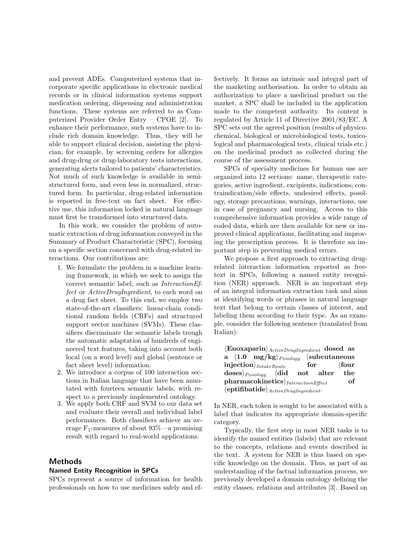and prevent ADEs. Computerized systems that incorporate specific applications in electronic medical records or in clinical information systems support medication ordering, dispensing and administration functions. These systems are referred to as Computerized Provider Order Entry – CPOE [\[2\]](#page-5-1). To enhance their performance, such systems have to include rich domain knowledge. Thus, they will be able to support clinical decision, assisting the physician, for example, by screening orders for allergies and drug-drug or drug-laboratory tests interactions, generating alerts tailored to patients' characteristics. Not much of such knowledge is available in semistructured form, and even less in normalized, structured form. In particular, drug-related information is reported in free-text on fact sheet. For effective use, this information locked in natural language must first be transformed into structured data.

In this work, we consider the problem of automatic extraction of drug information conveyed in the Summary of Product Characteristic (SPC), focusing on a specific section concerned with drug-related interactions. Our contributions are:

- 1. We formulate the problem in a machine learning framework, in which we seek to assign the correct semantic label, such as InteractionEffect or ActiveDrugIngredient, to each word on a drug fact sheet. To this end, we employ two state-of-the-art classifiers: linear-chain conditional random fields (CRFs) and structured support vector machines (SVMs). These classifiers discriminate the semantic labels trough the automatic adaptation of hundreds of engineered text features, taking into account both local (on a word level) and global (sentence or fact sheet level) information.
- 2. We introduce a corpus of 100 interaction sections in Italian language that have been annotated with fourteen semantic labels, with respect to a previously implemented ontology.
- 3. We apply both CRF and SVM to our data set and evaluate their overall and individual label performances. Both classifiers achieve an average  $F_1$ -measures of about 93%—a promising result with regard to real-world applications.

# Methods

#### Named Entity Recognition in SPCs

<span id="page-1-0"></span>SPCs represent a source of information for health professionals on how to use medicines safely and effectively. It forms an intrinsic and integral part of the marketing authorisation. In order to obtain an authorization to place a medicinal product on the market, a SPC shall be included in the application made to the competent authority. Its content is regulated by Article 11 of Directive 2001/83/EC. A SPC sets out the agreed position (results of physicochemical, biological or microbiological tests, toxicological and pharmacological tests, clinical trials etc.) on the medicinal product as collected during the course of the assessment process.

SPCs of specialty medicines for human use are organized into 12 sections: name, therapeutic categories, active ingredient, excipients, indications, contraindication/side effects, undesired effects, posology, storage precautions, warnings, interactions, use in case of pregnancy and nursing. Access to this comprehensive information provides a wide range of coded data, which are then available for new or improved clinical applications, facilitating and improving the prescription process. It is therefore an important step in preventing medical errors.

We propose a first approach to extracting drugrelated interaction information reported as freetext in SPCs, following a named entity recognition (NER) approach. NER is an important step of an integral information extraction task and aims at identifying words or phrases in natural language text that belong to certain classes of interest, and labeling them according to their type. As an example, consider the following sentence (translated from Italian):

 $\langle$ Enoxaparin $\rangle$ <sub>ActiveDrugIngredient</sub> dosed as a  $\langle 1.0$  mg/kg $\rangle_{Posology}$   $\langle$  subcutaneous  $\text{injection}\rangle_{IntakeRowte}$  for  $\langle \text{four} \rangle$  $\langle \text{doses} \rangle_{Posology}$   $\langle \text{did} \rangle$  not alter the  $\mathbf{pharmacokinetics}\rangle_{InteractionEffect}$  of  $\langle$ eptifibatide $\rangle$ <sub>ActiveDrugIngredient</sub>.

In NER, each token is sought to be associated with a label that indicates its appropriate domain-specific category.

Typically, the first step in most NER tasks is to identify the named entities (labels) that are relevant to the concepts, relations and events described in the text. A system for NER is thus based on specific knowledge on the domain. Thus, as part of an understanding of the factual information process, we previously developed a domain ontology defining the entity classes, relations and attributes [\[3\]](#page-5-2). Based on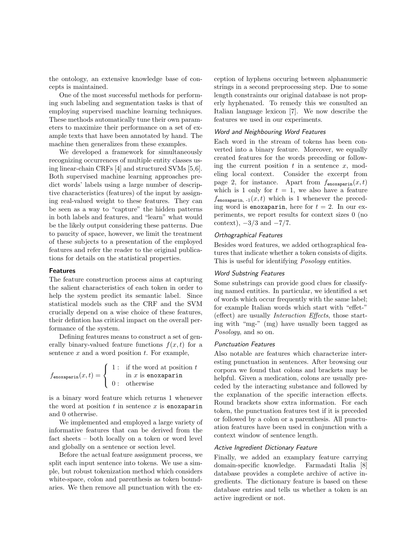the ontology, an extensive knowledge base of concepts is maintained.

One of the most successful methods for performing such labeling and segmentation tasks is that of employing supervised machine learning techniques. These methods automatically tune their own parameters to maximize their performance on a set of example texts that have been annotated by hand. The machine then generalizes from these examples.

We developed a framework for simultaneously recognizing occurrences of multiple entity classes using linear-chain CRFs [\[4\]](#page-5-3) and structured SVMs [\[5,](#page-5-4)[6\]](#page-5-5). Both supervised machine learning approaches predict words' labels using a large number of descriptive characteristics (features) of the input by assigning real-valued weight to these features. They can be seen as a way to "capture" the hidden patterns in both labels and features, and "learn" what would be the likely output considering these patterns. Due to paucity of space, however, we limit the treatment of these subjects to a presentation of the employed features and refer the reader to the original publications for details on the statistical properties.

#### Features

The feature construction process aims at capturing the salient characteristics of each token in order to help the system predict its semantic label. Since statistical models such as the CRF and the SVM crucially depend on a wise choice of these features, their defintion has critical impact on the overall performance of the system.

Defining features means to construct a set of generally binary-valued feature functions  $f(x, t)$  for a sentence  $x$  and a word position  $t$ . For example,

$$
f_{\text{enoxaparin}}(x,t) = \begin{cases} 1: & \text{if the word at position } t \\ & \text{in } x \text{ is enoxaparin} \\ 0: & \text{otherwise} \end{cases}
$$

is a binary word feature which returns 1 whenever the word at position  $t$  in sentence  $x$  is enoxaparin and 0 otherwise.

We implemented and employed a large variety of informative features that can be derived from the fact sheets – both locally on a token or word level and globally on a sentence or section level.

Before the actual feature assignment process, we split each input sentence into tokens. We use a simple, but robust tokenization method which considers white-space, colon and parenthesis as token boundaries. We then remove all punctuation with the exception of hyphens occuring between alphanumeric strings in a second preprocessing step. Due to some length constraints our original database is not properly hyphenated. To remedy this we consulted an Italian language lexicon [\[7\]](#page-5-6). We now describe the features we used in our experiments.

#### Word and Neighbouring Word Features

Each word in the stream of tokens has been converted into a binary feature. Moreover, we equally created features for the words preceding or following the current position  $t$  in a sentence  $x$ , modeling local context. Consider the excerpt from page [2,](#page-1-0) for instance. Apart from  $f_{\text{enoxaparin}}(x, t)$ which is 1 only for  $t = 1$ , we also have a feature  $f_{\text{enoxaparin}, -1}(x, t)$  which is 1 whenever the preceding word is enoxaparin, here for  $t = 2$ . In our experiments, we report results for context sizes 0 (no context),  $-3/3$  and  $-7/7$ .

## Orthographical Features

Besides word features, we added orthographical features that indicate whether a token consists of digits. This is useful for identifying Posology entities.

#### Word Substring Features

Some substrings can provide good clues for classifying named entities. In particular, we identified a set of words which occur frequently with the same label; for example Italian words which start with "effet-" (effect) are usually Interaction Effects, those starting with "mg-" (mg) have usually been tagged as Posology, and so on.

#### Punctuation Features

Also notable are features which characterize interesting punctuation in sentences. After browsing our corpora we found that colons and brackets may be helpful. Given a medication, colons are usually preceded by the interacting substance and followed by the explanation of the specific interaction effects. Round brackets show extra information. For each token, the punctuation features test if it is preceded or followed by a colon or a parenthesis. All punctuation features have been used in conjunction with a context window of sentence length.

#### Active Ingredient Dictionary Feature

Finally, we added an examplary feature carrying domain-specific knowledge. Farmadati Italia [\[8\]](#page-5-7) database provides a complete archive of active ingredients. The dictionary feature is based on these database entries and tells us whether a token is an active ingredient or not.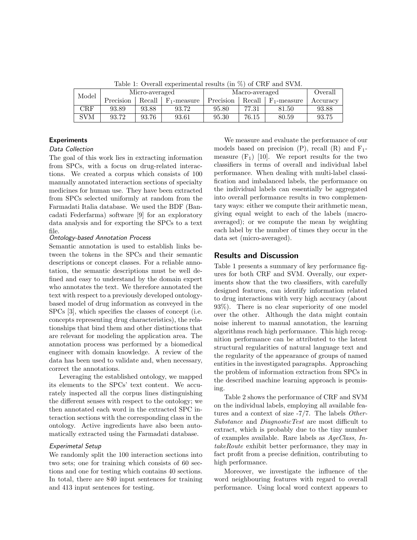| Model      | Micro-averaged |       |                                       | Macro-averaged | Overall |                                       |          |  |  |  |
|------------|----------------|-------|---------------------------------------|----------------|---------|---------------------------------------|----------|--|--|--|
|            | Precision      |       | Recall $\mid$ F <sub>1</sub> -measure | Precision      |         | Recall $\mid$ F <sub>1</sub> -measure | Accuracy |  |  |  |
| <b>CRF</b> | 93.89          | 93.88 | 93.72                                 | 95.80          | 77.31   | 81.50                                 | 93.88    |  |  |  |
| SVM        | 93.72          | 93.76 | 93.61                                 | 95.30          | 76.15   | 80.59                                 | 93.75    |  |  |  |

<span id="page-3-0"></span>Table 1: Overall experimental results (in %) of CRF and SVM.

# Experiments

## Data Collection

The goal of this work lies in extracting information from SPCs, with a focus on drug-related interactions. We created a corpus which consists of 100 manually annotated interaction sections of specialty medicines for human use. They have been extracted from SPCs selected uniformly at random from the Farmadati Italia database. We used the BDF (Bancadati Federfarma) software [\[9\]](#page-5-8) for an exploratory data analysis and for exporting the SPCs to a text file.

#### Ontology-based Annotation Process

Semantic annotation is used to establish links between the tokens in the SPCs and their semantic descriptions or concept classes. For a reliable annotation, the semantic descriptions must be well defined and easy to understand by the domain expert who annotates the text. We therefore annotated the text with respect to a previously developed ontologybased model of drug information as conveyed in the SPCs [\[3\]](#page-5-2), which specifies the classes of concept (i.e. concepts representing drug characteristics), the relationships that bind them and other distinctions that are relevant for modeling the application area. The annotation process was performed by a biomedical engineer with domain knowledge. A review of the data has been used to validate and, when necessary, correct the annotations.

Leveraging the established ontology, we mapped its elements to the SPCs' text content. We accurately inspected all the corpus lines distinguishing the different senses with respect to the ontology; we then annotated each word in the extracted SPC interaction sections with the corresponding class in the ontology. Active ingredients have also been automatically extracted using the Farmadati database.

#### Experimetal Setup

We randomly split the 100 interaction sections into two sets; one for training which consists of 60 sections and one for testing which contains 40 sections. In total, there are 840 input sentences for training and 413 input sentences for testing.

We measure and evaluate the performance of our models based on precision  $(P)$ , recall  $(R)$  and  $F_1$ measure  $(F_1)$  [\[10\]](#page-5-9). We report results for the two classifiers in terms of overall and individual label performance. When dealing with multi-label classification and imbalanced labels, the performance on the individual labels can essentially be aggregated into overall performance results in two complementary ways: either we compute their arithmetic mean, giving equal weight to each of the labels (macroaveraged); or we compute the mean by weighting each label by the number of times they occur in the data set (micro-averaged).

#### Results and Discussion

Table [1](#page-3-0) presents a summary of key performance figures for both CRF and SVM. Overally, our experiments show that the two classifiers, with carefully designed features, can identify information related to drug interactions with very high accuracy (about 93%). There is no clear superiority of one model over the other. Although the data might contain noise inherent to manual annotation, the learning algorithms reach high performance. This high recognition performance can be attributed to the latent structural regularities of natural language text and the regularity of the appearance of groups of named entities in the investigated paragraphs. Approaching the problem of information extraction from SPCs in the described machine learning approach is promising.

Table [2](#page-4-0) shows the performance of CRF and SVM on the individual labels, employing all available features and a context of size -7/7. The labels Other-Substance and DiagnosticTest are most difficult to extract, which is probably due to the tiny number of examples available. Rare labels as AgeClass, IntakeRoute exhibit better performance, they may in fact profit from a precise definition, contributing to high performance.

Moreover, we investigate the influence of the word neighbouring features with regard to overall performance. Using local word context appears to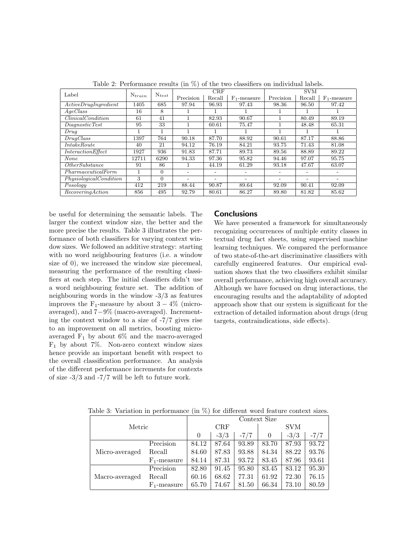| Label                       | $N_{train}$ | $N_{test}$ |                          | CRF                      |                          | <b>SVM</b> |                          |                          |
|-----------------------------|-------------|------------|--------------------------|--------------------------|--------------------------|------------|--------------------------|--------------------------|
|                             |             |            | Precision                | Recall                   | $F_1$ -measure           | Precision  | Recall                   | $F_1$ -measure           |
| Active DrugIngradient       | 1405        | 685        | 97.94                    | 96.93                    | 97.43                    | 98.36      | 96.50                    | 97.42                    |
| A q e Class                 | 16          | 8          |                          |                          |                          |            |                          |                          |
| Clinical Condition          | 61          | 41         | ٠                        | 82.93                    | 90.67                    |            | 80.49                    | 89.19                    |
| DiaqnosticTest              | 95          | 33         |                          | 60.61                    | 75.47                    |            | 48.48                    | 65.31                    |
| Druq                        |             |            | $\mathbf{1}$             |                          |                          |            |                          |                          |
| DruqClass                   | 1397        | 764        | 90.18                    | 87.70                    | 88.92                    | 90.61      | 87.17                    | 88.86                    |
| <i>IntakeRoute</i>          | 40          | 21         | 94.12                    | 76.19                    | 84.21                    | 93.75      | 71.43                    | 81.08                    |
| InteractionEffect           | 1927        | 936        | 91.83                    | 87.71                    | 89.73                    | 89.56      | 88.89                    | 89.22                    |
| None                        | 12711       | 6290       | 94.33                    | 97.36                    | 95.82                    | 94.46      | 97.07                    | 95.75                    |
| $\overline{OtherSubstance}$ | 91          | 86         |                          | 44.19                    | 61.29                    | 93.18      | 47.67                    | 63.07                    |
| PharmaceuticalForm          |             | $\Omega$   | $\overline{\phantom{a}}$ | $\overline{\phantom{a}}$ | $\overline{\phantom{0}}$ |            | $\overline{\phantom{0}}$ | $\overline{\phantom{a}}$ |
| PhysiologicalCondition      | 3           | $\Omega$   | -                        |                          |                          |            |                          | $\overline{\phantom{a}}$ |
| Posology                    | 412         | 219        | 88.44                    | 90.87                    | 89.64                    | 92.09      | 90.41                    | 92.09                    |
| Recovering Action           | 856         | 495        | 92.79                    | 80.61                    | 86.27                    | 89.80      | 81.82                    | 85.62                    |

<span id="page-4-0"></span>Table 2: Performance results (in %) of the two classifiers on individual labels.

be useful for determining the semantic labels. The larger the context window size, the better and the more precise the results. Table [3](#page-4-1) illustrates the performance of both classifiers for varying context window sizes. We followed an additive strategy: starting with no word neighbouring features (i.e. a window size of 0), we increased the window size piecemeal, measuring the performance of the resulting classifiers at each step. The initial classifiers didn't use a word neighbouring feature set. The addition of neighbouring words in the window -3/3 as features improves the F<sub>1</sub>-measure by about  $3 - 4\%$  (microaveraged), and 7−9% (macro-averaged). Incrementing the context window to a size of -7/7 gives rise to an improvement on all metrics, boosting microaveraged  $F_1$  by about 6% and the macro-averaged  $F_1$  by about 7%. Non-zero context window sizes hence provide an important benefit with respect to the overall classification performance. An analysis of the different performance increments for contexts of size -3/3 and -7/7 will be left to future work.

## **Conclusions**

We have presented a framework for simultaneously recognizing occurrences of multiple entity classes in textual drug fact sheets, using supervised machine learning techniques. We compared the performance of two state-of-the-art discriminative classifiers with carefully engineered features. Our empirical evaluation shows that the two classifiers exhibit similar overall performance, achieving high overall accuracy. Although we have focused on drug interactions, the encouraging results and the adaptability of adopted approach show that our system is significant for the extraction of detailed information about drugs (drug targets, contraindications, side effects).

|                |                | Context Size |        |            |       |        |        |  |
|----------------|----------------|--------------|--------|------------|-------|--------|--------|--|
| Metric         | CRF            |              |        | <b>SVM</b> |       |        |        |  |
|                |                | $\theta$     | $-3/3$ | $-7/7$     | 0     | $-3/3$ | $-7/7$ |  |
|                | Precision      | 84.12        | 87.64  | 93.89      | 83.70 | 87.93  | 93.72  |  |
| Micro-averaged | Recall         | 84.60        | 87.83  | 93.88      | 84.34 | 88.22  | 93.76  |  |
|                | $F_1$ -measure | 84.14        | 87.31  | 93.72      | 83.45 | 87.96  | 93.61  |  |
|                | Precision      | 82.80        | 91.45  | 95.80      | 83.45 | 83.12  | 95.30  |  |
| Macro-averaged | Recall         | 60.16        | 68.62  | 77.31      | 61.92 | 72.30  | 76.15  |  |
|                | $F_1$ -measure | 65.70        | 74.67  | 81.50      | 66.34 | 73.10  | 80.59  |  |

<span id="page-4-1"></span>Table 3: Variation in performance (in %) for different word feature context sizes.